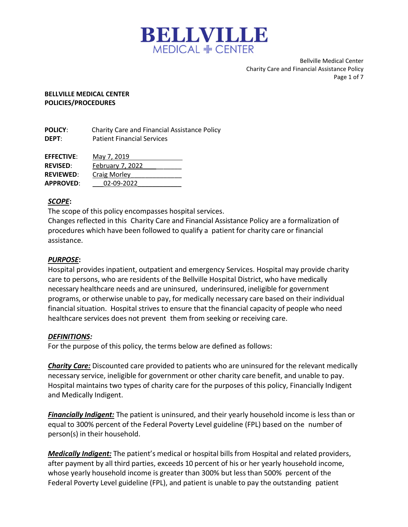

Bellville Medical Center Charity Care and Financial Assistance Policy Page 1 of 7

#### BELLVILLE MEDICAL CENTER POLICIES/PROCEDURES

POLICY: Charity Care and Financial Assistance Policy DEPT: Patient Financial Services

| <b>EFFECTIVE:</b> | May 7, 2019      |
|-------------------|------------------|
| <b>REVISED:</b>   | February 7, 2022 |
| REVIEWED:         | Craig Morley     |
| <b>APPROVED:</b>  | 02-09-2022       |

# SCOPE:

The scope of this policy encompasses hospital services.

Changes reflected in this Charity Care and Financial Assistance Policy are a formalization of procedures which have been followed to qualify a patient for charity care or financial assistance.

#### PURPOSE:

Hospital provides inpatient, outpatient and emergency Services. Hospital may provide charity care to persons, who are residents of the Bellville Hospital District, who have medically necessary healthcare needs and are uninsured, underinsured, ineligible for government programs, or otherwise unable to pay, for medically necessary care based on their individual financial situation. Hospital strives to ensure that the financial capacity of people who need healthcare services does not prevent them from seeking or receiving care.

#### DEFINITIONS:

For the purpose of this policy, the terms below are defined as follows:

Charity Care: Discounted care provided to patients who are uninsured for the relevant medically necessary service, ineligible for government or other charity care benefit, and unable to pay. Hospital maintains two types of charity care for the purposes of this policy, Financially Indigent and Medically Indigent.

Financially Indigent: The patient is uninsured, and their yearly household income is less than or equal to 300% percent of the Federal Poverty Level guideline (FPL) based on the number of person(s) in their household.

Medically Indigent: The patient's medical or hospital bills from Hospital and related providers, after payment by all third parties, exceeds 10 percent of his or her yearly household income, whose yearly household income is greater than 300% but less than 500% percent of the Federal Poverty Level guideline (FPL), and patient is unable to pay the outstanding patient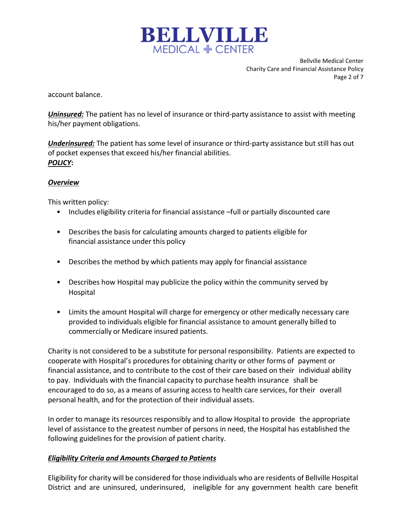

Bellville Medical Center Charity Care and Financial Assistance Policy Page 2 of 7

account balance.

**Uninsured:** The patient has no level of insurance or third-party assistance to assist with meeting his/her payment obligations.

Underinsured: The patient has some level of insurance or third-party assistance but still has out of pocket expenses that exceed his/her financial abilities. POLICY:

#### **Overview**

This written policy:

- Includes eligibility criteria for financial assistance –full or partially discounted care
- Describes the basis for calculating amounts charged to patients eligible for financial assistance under this policy
- Describes the method by which patients may apply for financial assistance
- Describes how Hospital may publicize the policy within the community served by Hospital
- Limits the amount Hospital will charge for emergency or other medically necessary care provided to individuals eligible for financial assistance to amount generally billed to commercially or Medicare insured patients.

Charity is not considered to be a substitute for personal responsibility. Patients are expected to cooperate with Hospital's procedures for obtaining charity or other forms of payment or financial assistance, and to contribute to the cost of their care based on their individual ability to pay. Individuals with the financial capacity to purchase health insurance shall be encouraged to do so, as a means of assuring access to health care services, for their overall personal health, and for the protection of their individual assets.

In order to manage its resources responsibly and to allow Hospital to provide the appropriate level of assistance to the greatest number of persons in need, the Hospital has established the following guidelines for the provision of patient charity.

# Eligibility Criteria and Amounts Charged to Patients

Eligibility for charity will be considered for those individuals who are residents of Bellville Hospital District and are uninsured, underinsured, ineligible for any government health care benefit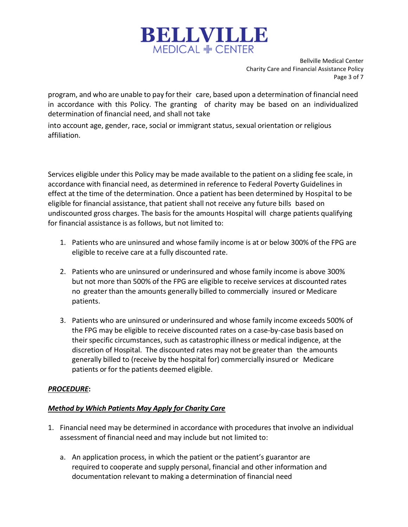

Bellville Medical Center Charity Care and Financial Assistance Policy Page 3 of 7

program, and who are unable to pay for their care, based upon a determination of financial need in accordance with this Policy. The granting of charity may be based on an individualized determination of financial need, and shall not take

into account age, gender, race, social or immigrant status, sexual orientation or religious affiliation.

Services eligible under this Policy may be made available to the patient on a sliding fee scale, in accordance with financial need, as determined in reference to Federal Poverty Guidelines in effect at the time of the determination. Once a patient has been determined by Hospital to be eligible for financial assistance, that patient shall not receive any future bills based on undiscounted gross charges. The basis for the amounts Hospital will charge patients qualifying for financial assistance is as follows, but not limited to:

- 1. Patients who are uninsured and whose family income is at or below 300% of the FPG are eligible to receive care at a fully discounted rate.
- 2. Patients who are uninsured or underinsured and whose family income is above 300% but not more than 500% of the FPG are eligible to receive services at discounted rates no greater than the amounts generally billed to commercially insured or Medicare patients.
- 3. Patients who are uninsured or underinsured and whose family income exceeds 500% of the FPG may be eligible to receive discounted rates on a case-by-case basis based on their specific circumstances, such as catastrophic illness or medical indigence, at the discretion of Hospital. The discounted rates may not be greater than the amounts generally billed to (receive by the hospital for) commercially insured or Medicare patients or for the patients deemed eligible.

# PROCEDURE:

# Method by Which Patients May Apply for Charity Care

- 1. Financial need may be determined in accordance with procedures that involve an individual assessment of financial need and may include but not limited to:
	- a. An application process, in which the patient or the patient's guarantor are required to cooperate and supply personal, financial and other information and documentation relevant to making a determination of financial need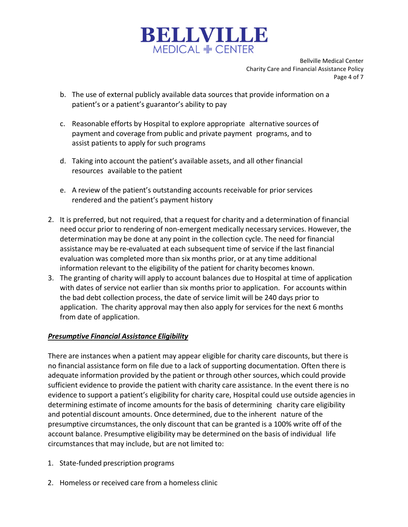

Bellville Medical Center Charity Care and Financial Assistance Policy Page 4 of 7

- b. The use of external publicly available data sources that provide information on a patient's or a patient's guarantor's ability to pay
- c. Reasonable efforts by Hospital to explore appropriate alternative sources of payment and coverage from public and private payment programs, and to assist patients to apply for such programs
- d. Taking into account the patient's available assets, and all other financial resources available to the patient
- e. A review of the patient's outstanding accounts receivable for prior services rendered and the patient's payment history
- 2. It is preferred, but not required, that a request for charity and a determination of financial need occur prior to rendering of non-emergent medically necessary services. However, the determination may be done at any point in the collection cycle. The need for financial assistance may be re-evaluated at each subsequent time of service if the last financial evaluation was completed more than six months prior, or at any time additional information relevant to the eligibility of the patient for charity becomes known.
- 3. The granting of charity will apply to account balances due to Hospital at time of application with dates of service not earlier than six months prior to application. For accounts within the bad debt collection process, the date of service limit will be 240 days prior to application. The charity approval may then also apply for services for the next 6 months from date of application.

# Presumptive Financial Assistance Eligibility

There are instances when a patient may appear eligible for charity care discounts, but there is no financial assistance form on file due to a lack of supporting documentation. Often there is adequate information provided by the patient or through other sources, which could provide sufficient evidence to provide the patient with charity care assistance. In the event there is no evidence to support a patient's eligibility for charity care, Hospital could use outside agencies in determining estimate of income amounts for the basis of determining charity care eligibility and potential discount amounts. Once determined, due to the inherent nature of the presumptive circumstances, the only discount that can be granted is a 100% write off of the account balance. Presumptive eligibility may be determined on the basis of individual life circumstances that may include, but are not limited to:

- 1. State-funded prescription programs
- 2. Homeless or received care from a homeless clinic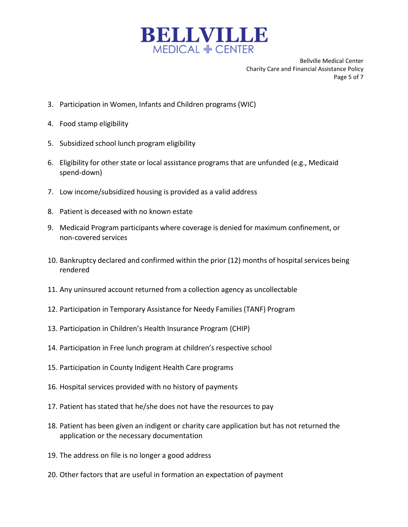

Bellville Medical Center Charity Care and Financial Assistance Policy Page 5 of 7

- 3. Participation in Women, Infants and Children programs (WIC)
- 4. Food stamp eligibility
- 5. Subsidized school lunch program eligibility
- 6. Eligibility for other state or local assistance programs that are unfunded (e.g., Medicaid spend-down)
- 7. Low income/subsidized housing is provided as a valid address
- 8. Patient is deceased with no known estate
- 9. Medicaid Program participants where coverage is denied for maximum confinement, or non-covered services
- 10. Bankruptcy declared and confirmed within the prior (12) months of hospital services being rendered
- 11. Any uninsured account returned from a collection agency as uncollectable
- 12. Participation in Temporary Assistance for Needy Families (TANF) Program
- 13. Participation in Children's Health Insurance Program (CHIP)
- 14. Participation in Free lunch program at children's respective school
- 15. Participation in County Indigent Health Care programs
- 16. Hospital services provided with no history of payments
- 17. Patient has stated that he/she does not have the resources to pay
- 18. Patient has been given an indigent or charity care application but has not returned the application or the necessary documentation
- 19. The address on file is no longer a good address
- 20. Other factors that are useful in formation an expectation of payment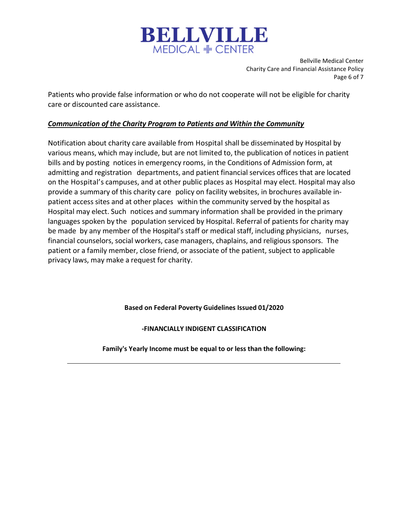

Bellville Medical Center Charity Care and Financial Assistance Policy Page 6 of 7

Patients who provide false information or who do not cooperate will not be eligible for charity care or discounted care assistance.

#### Communication of the Charity Program to Patients and Within the Community

Notification about charity care available from Hospital shall be disseminated by Hospital by various means, which may include, but are not limited to, the publication of notices in patient bills and by posting notices in emergency rooms, in the Conditions of Admission form, at admitting and registration departments, and patient financial services offices that are located on the Hospital's campuses, and at other public places as Hospital may elect. Hospital may also provide a summary of this charity care policy on facility websites, in brochures available inpatient access sites and at other places within the community served by the hospital as Hospital may elect. Such notices and summary information shall be provided in the primary languages spoken by the population serviced by Hospital. Referral of patients for charity may be made by any member of the Hospital's staff or medical staff, including physicians, nurses, financial counselors, social workers, case managers, chaplains, and religious sponsors. The patient or a family member, close friend, or associate of the patient, subject to applicable privacy laws, may make a request for charity.

Based on Federal Poverty Guidelines Issued 01/2020

-FINANCIALLY INDIGENT CLASSIFICATION

Family's Yearly Income must be equal to or less than the following: